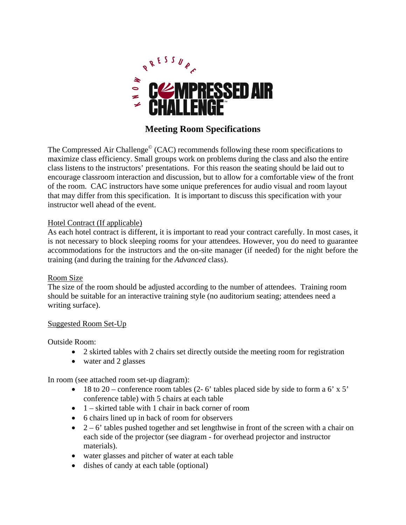

# **Meeting Room Specifications**

The Compressed Air Challenge<sup>©</sup> (CAC) recommends following these room specifications to maximize class efficiency. Small groups work on problems during the class and also the entire class listens to the instructors' presentations. For this reason the seating should be laid out to encourage classroom interaction and discussion, but to allow for a comfortable view of the front of the room. CAC instructors have some unique preferences for audio visual and room layout that may differ from this specification. It is important to discuss this specification with your instructor well ahead of the event.

# Hotel Contract (If applicable)

As each hotel contract is different, it is important to read your contract carefully. In most cases, it is not necessary to block sleeping rooms for your attendees. However, you do need to guarantee accommodations for the instructors and the on-site manager (if needed) for the night before the training (and during the training for the *Advanced* class).

#### Room Size

The size of the room should be adjusted according to the number of attendees. Training room should be suitable for an interactive training style (no auditorium seating; attendees need a writing surface).

#### Suggested Room Set-Up

#### Outside Room:

- 2 skirted tables with 2 chairs set directly outside the meeting room for registration
- water and 2 glasses

In room (see attached room set-up diagram):

- $\bullet$  18 to 20 conference room tables (2-6' tables placed side by side to form a 6' x 5' conference table) with 5 chairs at each table
- $\bullet$  1 skirted table with 1 chair in back corner of room
- 6 chairs lined up in back of room for observers
- $\bullet$  2 6' tables pushed together and set lengthwise in front of the screen with a chair on each side of the projector (see diagram - for overhead projector and instructor materials).
- water glasses and pitcher of water at each table
- dishes of candy at each table (optional)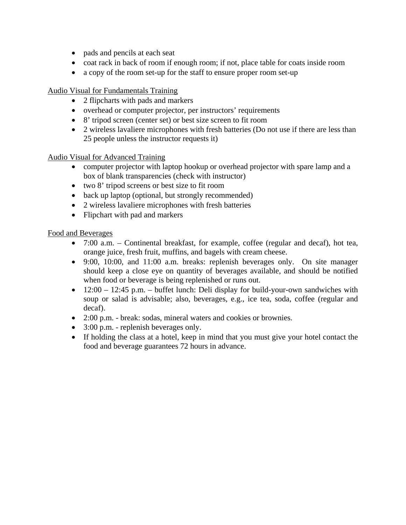- pads and pencils at each seat
- coat rack in back of room if enough room; if not, place table for coats inside room
- a copy of the room set-up for the staff to ensure proper room set-up

Audio Visual for Fundamentals Training

- 2 flipcharts with pads and markers
- overhead or computer projector, per instructors' requirements
- 8' tripod screen (center set) or best size screen to fit room
- 2 wireless lavaliere microphones with fresh batteries (Do not use if there are less than 25 people unless the instructor requests it)

## Audio Visual for Advanced Training

- computer projector with laptop hookup or overhead projector with spare lamp and a box of blank transparencies (check with instructor)
- two 8' tripod screens or best size to fit room
- back up laptop (optional, but strongly recommended)
- 2 wireless lavaliere microphones with fresh batteries
- Flipchart with pad and markers

## Food and Beverages

- 7:00 a.m. Continental breakfast, for example, coffee (regular and decaf), hot tea, orange juice, fresh fruit, muffins, and bagels with cream cheese.
- 9:00, 10:00, and 11:00 a.m. breaks: replenish beverages only. On site manager should keep a close eye on quantity of beverages available, and should be notified when food or beverage is being replenished or runs out.
- $\bullet$  12:00 12:45 p.m. buffet lunch: Deli display for build-your-own sandwiches with soup or salad is advisable; also, beverages, e.g., ice tea, soda, coffee (regular and decaf).
- 2:00 p.m. break: sodas, mineral waters and cookies or brownies.
- 3:00 p.m. replenish beverages only.
- If holding the class at a hotel, keep in mind that you must give your hotel contact the food and beverage guarantees 72 hours in advance.